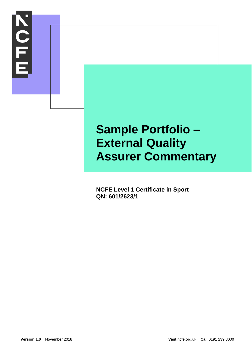

# **Sample Portfolio – External Quality Assurer Commentary**

**NCFE Level 1 Certificate in Sport QN: 601/2623/1**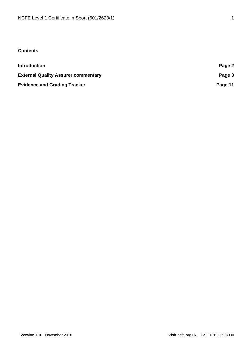# **Contents**

| <b>Introduction</b>                        | Page 2  |
|--------------------------------------------|---------|
| <b>External Quality Assurer commentary</b> | Page 3  |
| <b>Evidence and Grading Tracker</b>        | Page 11 |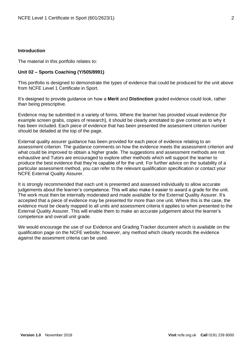# **Introduction**

The material in this portfolio relates to:

## **Unit 02 – Sports Coaching (Y/505/8991)**

This portfolio is designed to demonstrate the types of evidence that could be produced for the unit above from NCFE Level 1 Certificate in Sport.

It's designed to provide guidance on how a **Merit** and **Distinction** graded evidence could look, rather than being prescriptive.

Evidence may be submitted in a variety of forms. Where the learner has provided visual evidence (for example screen grabs, copies of research), it should be clearly annotated to give context as to why it has been included. Each piece of evidence that has been presented the assessment criterion number should be detailed at the top of the page.

External quality assurer guidance has been provided for each piece of evidence relating to an assessment criterion. The guidance comments on how the evidence meets the assessment criterion and what could be improved to obtain a higher grade. The suggestions and assessment methods are not exhaustive and Tutors are encouraged to explore other methods which will support the learner to produce the best evidence that they're capable of for the unit. For further advice on the suitability of a particular assessment method, you can refer to the relevant qualification specification or contact your NCFE External Quality Assurer.

It is strongly recommended that each unit is presented and assessed individually to allow accurate judgements about the learner's competence. This will also make it easier to award a grade for the unit. The work must then be internally moderated and made available for the External Quality Assurer. It's accepted that a piece of evidence may be presented for more than one unit. Where this is the case, the evidence must be clearly mapped to all units and assessment criteria it applies to when presented to the External Quality Assurer. This will enable them to make an accurate judgement about the learner's competence and overall unit grade.

We would encourage the use of our Evidence and Grading Tracker document which is available on the qualification page on the NCFE website; however, any method which clearly records the evidence against the assesment criteria can be used.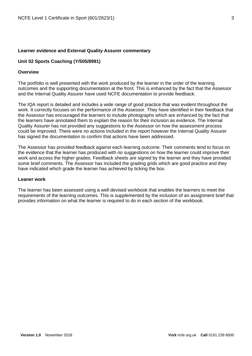## **Learner evidence and External Quality Assurer commentary**

# **Unit 02 Sports Coaching (Y/505/8991)**

## **Overview**

The portfolio is well presented with the work produced by the learner in the order of the learning outcomes and the supporting documentation at the front. This is enhanced by the fact that the Assessor and the Internal Quality Assurer have used NCFE documentation to provide feedback.

The IQA report is detailed and includes a wide range of good practice that was evident throughout the work. It correctly focuses on the performance of the Assessor. They have identified in their feedback that the Assessor has encouraged the learners to include photographs which are enhanced by the fact that the learners have annotated them to explain the reason for their inclusion as evidence. The Internal Quality Assurer has not provided any suggestions to the Assessor on how the assessment process could be improved. There were no actions Included in the report however the Internal Quality Assurer has signed the documentation to confirm that actions have been addressed.

The Assessor has provided feedback against each learning outcome. Their comments tend to focus on the evidence that the learner has produced with no suggestions on how the learner could improve their work and access the higher grades. Feedback sheets are signed by the learner and they have provided some brief comments. The Assessor has included the grading grids which are good practice and they have indicated which grade the learner has achieved by ticking the box.

## **Leaner work**

The learner has been assessed using a well devised workbook that enables the learners to meet the requirements of the learning outcomes. This is supplemented by the inclusion of an assignment brief that provides information on what the learner is required to do in each section of the workbook.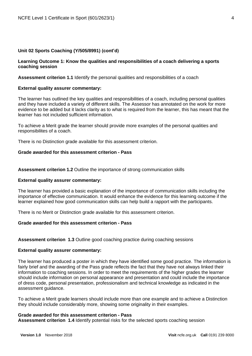## **Learning Outcome 1: Know the qualities and responsibilities of a coach delivering a sports coaching session**

**Assessment criterion 1.1** Identify the personal qualities and responsibilities of a coach

## **External quality assurer commentary:**

The learner has outlined the key qualities and responsibilities of a coach, including personal qualities and they have included a variety of different skills. The Assessor has annotated on the work for more evidence to be added but it lacks clarity as to what is required from the learner, this has meant that the learner has not included sufficient information.

To achieve a Merit grade the learner should provide more examples of the personal qualities and responsibilites of a coach.

There is no Distinction grade available for this assessment criterion.

## **Grade awarded for this assessment criterion - Pass**

**Assessment criterion 1.2** Outline the importance of strong communication skills

#### **External quality assurer commentary:**

The learner has provided a basic explanation of the importance of communication skills including the importance of effective communication. It would enhance the evidence for this learning outcome if the learner explained how good communication skills can help build a rapport with the participants.

There is no Merit or Distinction grade available for this assessment criterion.

## **Grade awarded for this assessment criterion - Pass**

**Assessment criterion 1.3** Outline good coaching practice during coaching sessions

#### **External quality assurer commentary:**

The learner has produced a poster in which they have identified some good practice. The information is fairly brief and the awarding of the Pass grade reflects the fact that they have not always linked their information to coaching sessions. In order to meet the requirements of the higher grades the learner should include information on personal appearance and presentation and could include the importance of dress code, personal presentation, professionalism and technical knowledge as indicated in the assessment guidance.

To achieve a Merit grade learners should include more than one example and to achieve a Distinction they should include considerably more, showing some originality in their examples.

#### **Grade awarded for this assessment criterion - Pass**

**Assessment criterion 1.4** Identify potential risks for the selected sports coaching session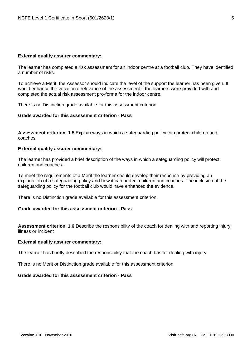#### **External quality assurer commentary:**

The learner has completed a risk assessment for an indoor centre at a football club. They have identified a number of risks.

To achieve a Merit, the Assessor should indicate the level of the support the learner has been given. It would enhance the vocational relevance of the assessment if the learners were provided with and completed the actual risk assessment pro-forma for the indoor centre.

There is no Distinction grade available for this assessment criterion.

## **Grade awarded for this assessment criterion - Pass**

**Assessment criterion 1.5** Explain ways in which a safeguarding policy can protect children and coaches

#### **External quality assurer commentary:**

The learner has provided a brief description of the ways in which a safeguarding policy will protect children and coaches.

To meet the requirements of a Merit the learner should develop their response by providing an explanation of a safeguading policy and how it can protect children and coaches. The inclusion of the safeguarding policy for the football club would have enhanced the evidence.

There is no Distinction grade available for this assessment criterion.

## **Grade awarded for this assessment criterion - Pass**

**Assessment criterion 1.6** Describe the responsibility of the coach for dealing with and reporting injury, illness or incident

#### **External quality assurer commentary:**

The learner has briefly described the responsibility that the coach has for dealing with injury.

There is no Merit or Distinction grade available for this assessment criterion.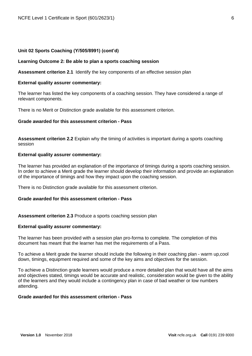#### **Learning Outcome 2: Be able to plan a sports coaching session**

**Assessment criterion 2.1** Identify the key components of an effective session plan

#### **External quality assurer commentary:**

The learner has listed the key components of a coaching session. They have considered a range of relevant components.

There is no Merit or Distinction grade available for this assessment criterion.

#### **Grade awarded for this assessment criterion - Pass**

**Assessment criterion 2.2** Explain why the timing of activities is important during a sports coaching session

## **External quality assurer commentary:**

The learner has provided an explanation of the importance of timings during a sports coaching session. In order to achieve a Merit grade the learner should develop their information and provide an explanation of the importance of timings and how they impact upon the coaching session.

There is no Distinction grade available for this assessment criterion.

#### **Grade awarded for this assessment criterion - Pass**

**Assessment criterion 2.3** Produce a sports coaching session plan

#### **External quality assurer commentary:**

The learner has been provided with a session plan pro-forma to complete. The completion of this document has meant that the learner has met the requirements of a Pass.

To achieve a Merit grade the learner should include the following in their coaching plan - warm up,cool down, timings, equipment required and some of the key aims and objectives for the session.

To achieve a Distinction grade learners would produce a more detailed plan that would have all the aims and objectives stated, timings would be accurate and realistic, consideration would be given to the ability of the learners and they would include a contingency plan in case of bad weather or low numbers attending.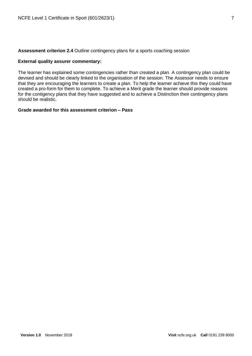**Assessment criterion 2.4** Outline contingency plans for a sports coaching session

## **External quality assurer commentary:**

The learner has explained some contingencies rather than created a plan. A contingency plan could be devised and should be clearly linked to the organisation of the session. The Assessor needs to ensure that they are encouraging the learners to create a plan. To help the learner achieve this they could have created a pro-form for them to complete. To achieve a Merit grade the learner should provide reasons for the contigency plans that they have suggested and to achieve a Distinction their contingency plans should be realistic.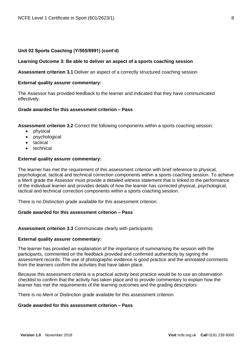#### **Learning Outcome 3: Be able to deliver an aspect of a sports coaching session**

**Assessment criterion 3.1** Deliver an aspect of a correctly structured coaching session

#### **External quality assurer commentary:**

The Assessor has provided feedback to the learner and indicated that they have communicated effectively.

# **Grade awarded for this assessment criterion – Pass**

**Assessment criterion 3.2** Correct the following components within a sports coaching session:

- physical
- psychological
- tactical
- technical

#### **External quality assurer commentary:**

The learner has met the requirement of this assessment criterion with brief reference to physical, psychological, tactical and technical correction components within a sports coaching session. To achieve a Merit grade the Assessor must provide a detailed witness statement that is linked to the performance of the individual learner and provides details of how the learner has corrected physical, psychological, tactical and technical correction components within a sports coaching session.

There is no Distinction grade available for this assessment criterion.

## **Grade awarded for this assessment criterion – Pass**

**Assessment criterion 3.3** Communicate clearly with participants

#### **External quality assurer commentary:**

The learner has provided an explanation of the importance of summarising the session with the participants, commented on the feedback provided and confirmed authenticity by signing the assessment records. The use of photographic evidence is good practice and the annotated comments from the learners confirm the activities that have taken place.

Because this assessment criteria is a practical activity best practice would be to use an observation checklist to confirm that the activity has taken place and to provide commentary to explain how the learner has met the requirements of the learning outcomes and the grading descriptors

There is no Merit or Distinction grade available for this assessment criterion.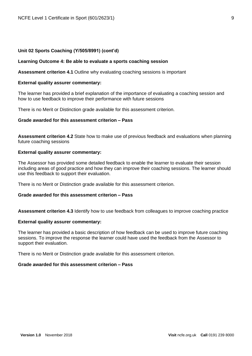#### **Learning Outcome 4: Be able to evaluate a sports coaching session**

**Assessment criterion 4.1** Outline why evaluating coaching sessions is important

#### **External quality assurer commentary:**

The learner has provided a brief explanation of the importance of evaluating a coaching session and how to use feedback to improve their performance with future sessions

There is no Merit or Distinction grade available for this assessment criterion.

## **Grade awarded for this assessment criterion – Pass**

**Assessment criterion 4.2** State how to make use of previous feedback and evaluations when planning future coaching sessions

#### **External quality assurer commentary:**

The Assessor has provided some detailed feedback to enable the learner to evaluate their session including areas of good practice and how they can improve their coaching sessions. The learner should use this feedback to support their evaluation.

There is no Merit or Distinction grade available for this assessment criterion.

## **Grade awarded for this assessment criterion – Pass**

**Assessment criterion 4.3** Identify how to use feedback from colleagues to improve coaching practice

#### **External quality assurer commentary:**

The learner has provided a basic description of how feedback can be used to improve future coaching sessions. To improve the response the learner could have used the feedback from the Assessor to support their evaluation.

There is no Merit or Distinction grade available for this assessment criterion.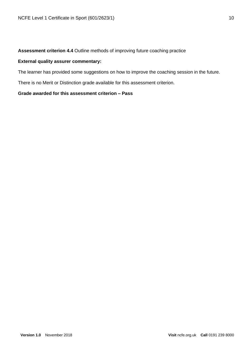# **Assessment criterion 4.4** Outline methods of improving future coaching practice

## **External quality assurer commentary:**

The learner has provided some suggestions on how to improve the coaching session in the future.

There is no Merit or Distinction grade available for this assessment criterion.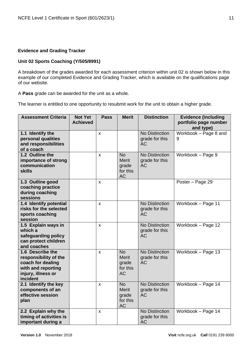# **Evidence and Grading Tracker**

# **Unit 02 Sports Coaching (Y/505/8991)**

A breakdown of the grades awarded for each assessment criterion within unit 02 is shown below in this example of our completed Evidence and Grading Tracker, which is available on the qualifications page of our website.

A **Pass** grade can be awarded for the unit as a whole.

The learner is entitled to one opportunity to resubmit work for the unit to obtain a higher grade.

| <b>Assessment Criteria</b>                                                                                             | <b>Not Yet</b><br><b>Achieved</b> | <b>Pass</b>        | <b>Merit</b>                                                | <b>Distinction</b>                                   | <b>Evidence (including</b><br>portfolio page number<br>and type) |
|------------------------------------------------------------------------------------------------------------------------|-----------------------------------|--------------------|-------------------------------------------------------------|------------------------------------------------------|------------------------------------------------------------------|
| 1.1 Identify the<br>personal qualities<br>and responsibilities<br>of a coach                                           |                                   | $\pmb{\mathsf{X}}$ |                                                             | <b>No Distinction</b><br>grade for this<br><b>AC</b> | Workbook - Page 8 and<br>9                                       |
| 1.2 Outline the<br>importance of strong<br>communication<br><b>skills</b>                                              |                                   | X                  | <b>No</b><br><b>Merit</b><br>grade<br>for this<br><b>AC</b> | <b>No Distinction</b><br>grade for this<br><b>AC</b> | Workbook - Page 9                                                |
| 1.3 Outline good<br>coaching practice<br>during coaching<br>sessions                                                   |                                   | X                  |                                                             |                                                      | Poster - Page 29                                                 |
| 1.4 Identify potential<br>risks for the selected<br>sports coaching<br>session                                         |                                   | X                  |                                                             | <b>No Distinction</b><br>grade for this<br><b>AC</b> | Workbook - Page 11                                               |
| 1.5 Explain ways in<br>which a<br>safeguarding policy<br>can protect children<br>and coaches                           |                                   | X                  |                                                             | <b>No Distinction</b><br>grade for this<br><b>AC</b> | Workbook - Page 12                                               |
| 1.6 Describe the<br>responsibility of the<br>coach for dealing<br>with and reporting<br>injury, illness or<br>incident |                                   | $\mathbf x$        | <b>No</b><br><b>Merit</b><br>grade<br>for this<br><b>AC</b> | <b>No Distinction</b><br>grade for this<br><b>AC</b> | Workbook - Page 13                                               |
| 2.1 Identify the key<br>components of an<br>effective session<br>plan                                                  |                                   | X                  | <b>No</b><br><b>Merit</b><br>grade<br>for this<br><b>AC</b> | <b>No Distinction</b><br>grade for this<br><b>AC</b> | Workbook - Page 14                                               |
| 2.2 Explain why the<br>timing of activities is<br>important during a                                                   |                                   | $\mathsf{x}$       |                                                             | <b>No Distinction</b><br>grade for this<br><b>AC</b> | Workbook - Page 14                                               |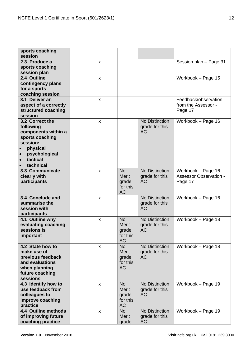| sports coaching<br>session                                                                                                               |              |                                                             |                                                      |                                                                |
|------------------------------------------------------------------------------------------------------------------------------------------|--------------|-------------------------------------------------------------|------------------------------------------------------|----------------------------------------------------------------|
| 2.3 Produce a<br>sports coaching<br>session plan                                                                                         | X            |                                                             |                                                      | Session plan - Page 31                                         |
| 2.4 Outline<br>contingency plans<br>for a sports<br>coaching session                                                                     | $\pmb{\chi}$ |                                                             |                                                      | Workbook - Page 15                                             |
| 3.1 Deliver an<br>aspect of a correctly<br>structured coaching<br>session                                                                | X            |                                                             |                                                      | Feedback/observation<br>from the Assessor -<br>Page 17         |
| 3.2 Correct the<br>following<br>components within a<br>sports coaching<br>session:<br>physical<br>psychological<br>tactical<br>technical | $\pmb{\chi}$ |                                                             | <b>No Distinction</b><br>grade for this<br><b>AC</b> | Workbook - Page 16                                             |
| 3.3 Communicate<br>clearly with<br>participants                                                                                          | X            | <b>No</b><br><b>Merit</b><br>grade<br>for this<br><b>AC</b> | <b>No Distinction</b><br>grade for this<br><b>AC</b> | Workbook - Page 16<br><b>Assessor Observation -</b><br>Page 17 |
| 3.4 Conclude and<br>summarise the<br>session with<br>participants                                                                        | $\pmb{\chi}$ |                                                             | <b>No Distinction</b><br>grade for this<br><b>AC</b> | Workbook - Page 16                                             |
| 4.1 Outline why<br>evaluating coaching<br>sessions is<br>important                                                                       | X            | <b>No</b><br>Merit<br>grade<br>for this<br><b>AC</b>        | No Distinction<br>grade for this<br><b>AC</b>        | Workbook - Page 18                                             |
| 4.2 State how to<br>make use of<br>previous feedback<br>and evaluations<br>when planning<br>future coaching<br>sessions                  | X            | <b>No</b><br><b>Merit</b><br>grade<br>for this<br><b>AC</b> | <b>No Distinction</b><br>grade for this<br><b>AC</b> | Workbook - Page 18                                             |
| 4.3 Identify how to<br>use feedback from<br>colleagues to<br>improve coaching<br>practice                                                | $\mathsf{x}$ | <b>No</b><br><b>Merit</b><br>grade<br>for this<br><b>AC</b> | <b>No Distinction</b><br>grade for this<br><b>AC</b> | Workbook - Page 19                                             |
| 4.4 Outline methods<br>of improving future<br>coaching practice                                                                          | $\mathsf{x}$ | <b>No</b><br><b>Merit</b><br>grade                          | No Distinction<br>grade for this<br><b>AC</b>        | Workbook - Page 19                                             |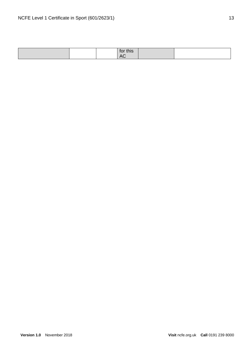|  | .<br>1VL<br><u>u nə</u>                      |  |
|--|----------------------------------------------|--|
|  | $\Lambda$ $\cap$<br>$\overline{\phantom{0}}$ |  |